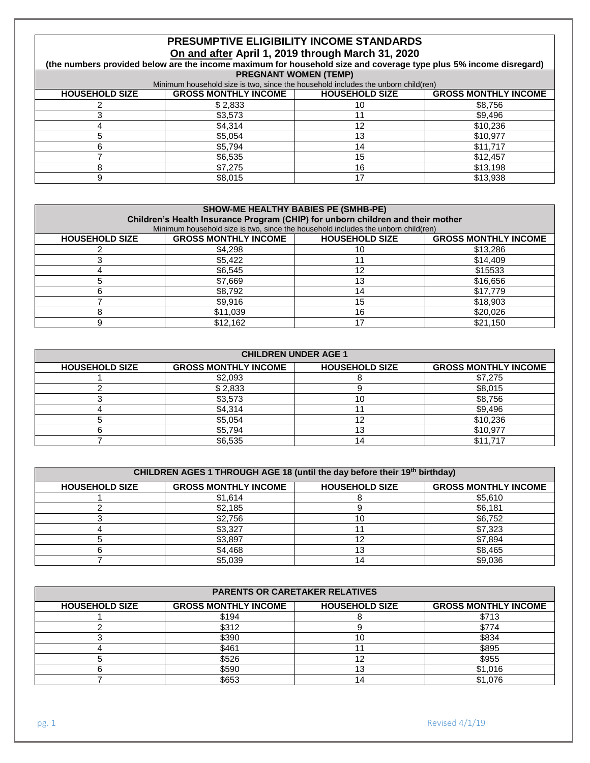# **PRESUMPTIVE ELIGIBILITY INCOME STANDARDS On and after April 1, 2019 through March 31, 2020**

**(the numbers provided below are the income maximum for household size and coverage type plus 5% income disregard) PREGNANT WOMEN (TEMP)**

| Minimum household size is two, since the household includes the unborn child (ren) |                             |                       |                             |
|------------------------------------------------------------------------------------|-----------------------------|-----------------------|-----------------------------|
| <b>HOUSEHOLD SIZE</b>                                                              | <b>GROSS MONTHLY INCOME</b> | <b>HOUSEHOLD SIZE</b> | <b>GROSS MONTHLY INCOME</b> |
|                                                                                    | \$2.833                     |                       | \$8,756                     |
|                                                                                    | \$3,573                     |                       | \$9,496                     |
|                                                                                    | \$4.314                     |                       | \$10,236                    |
|                                                                                    | \$5.054                     |                       | \$10.977                    |
|                                                                                    | \$5.794                     |                       | \$11.717                    |
|                                                                                    | \$6.535                     |                       | \$12.457                    |
|                                                                                    | \$7.275                     | 16                    | \$13.198                    |
|                                                                                    | \$8,015                     |                       | \$13,938                    |

#### **SHOW-ME HEALTHY BABIES PE (SMHB-PE)**

| Children's Health Insurance Program (CHIP) for unborn children and their mother |                                                                                   |                       |                             |
|---------------------------------------------------------------------------------|-----------------------------------------------------------------------------------|-----------------------|-----------------------------|
|                                                                                 | Minimum household size is two, since the household includes the unborn child(ren) |                       |                             |
| <b>HOUSEHOLD SIZE</b>                                                           | <b>GROSS MONTHLY INCOME</b>                                                       | <b>HOUSEHOLD SIZE</b> | <b>GROSS MONTHLY INCOME</b> |
|                                                                                 | \$4.298                                                                           |                       | \$13,286                    |
|                                                                                 | \$5.422                                                                           |                       | \$14,409                    |
|                                                                                 | \$6.545                                                                           |                       | \$15533                     |
|                                                                                 | \$7.669                                                                           | 13                    | \$16,656                    |
|                                                                                 | \$8,792                                                                           | 14                    | \$17.779                    |
|                                                                                 | \$9,916                                                                           | 15                    | \$18,903                    |
|                                                                                 | \$11.039                                                                          | 16                    | \$20,026                    |
|                                                                                 | \$12.162                                                                          |                       | \$21.150                    |

| <b>CHILDREN UNDER AGE 1</b> |                             |                       |                             |
|-----------------------------|-----------------------------|-----------------------|-----------------------------|
| <b>HOUSEHOLD SIZE</b>       | <b>GROSS MONTHLY INCOME</b> | <b>HOUSEHOLD SIZE</b> | <b>GROSS MONTHLY INCOME</b> |
|                             | \$2,093                     |                       | \$7,275                     |
|                             | \$2,833                     |                       | \$8,015                     |
|                             | \$3,573                     |                       | \$8,756                     |
|                             | \$4,314                     |                       | \$9,496                     |
|                             | \$5,054                     |                       | \$10,236                    |
|                             | \$5.794                     | ט ו                   | \$10,977                    |
|                             | \$6,535                     | 14                    | \$11,717                    |

| CHILDREN AGES 1 THROUGH AGE 18 (until the day before their 19th birthday) |                             |                       |                             |
|---------------------------------------------------------------------------|-----------------------------|-----------------------|-----------------------------|
| <b>HOUSEHOLD SIZE</b>                                                     | <b>GROSS MONTHLY INCOME</b> | <b>HOUSEHOLD SIZE</b> | <b>GROSS MONTHLY INCOME</b> |
|                                                                           | \$1.614                     |                       | \$5.610                     |
|                                                                           | \$2,185                     |                       | \$6,181                     |
|                                                                           | \$2,756                     |                       | \$6,752                     |
|                                                                           | \$3,327                     |                       | \$7,323                     |
|                                                                           | \$3,897                     |                       | \$7,894                     |
|                                                                           | \$4,468                     |                       | \$8,465                     |
|                                                                           | \$5,039                     |                       | \$9,036                     |

| <b>PARENTS OR CARETAKER RELATIVES</b> |                             |                       |                             |
|---------------------------------------|-----------------------------|-----------------------|-----------------------------|
| <b>HOUSEHOLD SIZE</b>                 | <b>GROSS MONTHLY INCOME</b> | <b>HOUSEHOLD SIZE</b> | <b>GROSS MONTHLY INCOME</b> |
|                                       | \$194                       |                       | \$713                       |
|                                       | \$312                       |                       | \$774                       |
|                                       | \$390                       | 1 C                   | \$834                       |
|                                       | \$461                       |                       | \$895                       |
|                                       | \$526                       | 12                    | \$955                       |
|                                       | \$590                       | 13                    | \$1,016                     |
|                                       | \$653                       |                       | \$1,076                     |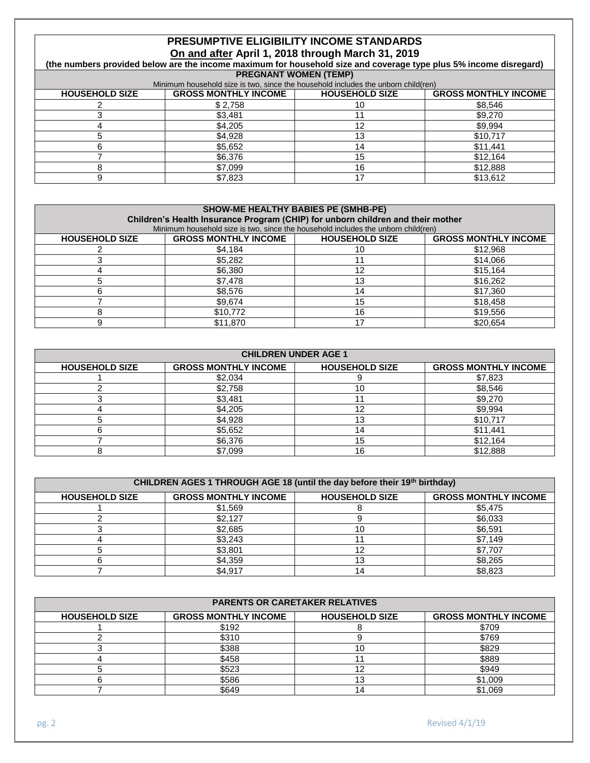# **PRESUMPTIVE ELIGIBILITY INCOME STANDARDS On and after April 1, 2018 through March 31, 2019**

**(the numbers provided below are the income maximum for household size and coverage type plus 5% income disregard) PREGNANT WOMEN (TEMP)**

| Minimum household size is two, since the household includes the unborn child (ren) |                             |                       |                             |
|------------------------------------------------------------------------------------|-----------------------------|-----------------------|-----------------------------|
| <b>HOUSEHOLD SIZE</b>                                                              | <b>GROSS MONTHLY INCOME</b> | <b>HOUSEHOLD SIZE</b> | <b>GROSS MONTHLY INCOME</b> |
|                                                                                    | \$2.758                     |                       | \$8,546                     |
|                                                                                    | \$3,481                     |                       | \$9,270                     |
|                                                                                    | \$4.205                     |                       | \$9.994                     |
|                                                                                    | \$4.928                     |                       | \$10,717                    |
|                                                                                    | \$5,652                     |                       | \$11.441                    |
|                                                                                    | \$6.376                     |                       | \$12.164                    |
|                                                                                    | \$7.099                     | 16                    | \$12,888                    |
|                                                                                    | \$7,823                     |                       | \$13,612                    |

#### **SHOW-ME HEALTHY BABIES PE (SMHB-PE)**

| Children's Health Insurance Program (CHIP) for unborn children and their mother |                                                                                   |                       |                             |
|---------------------------------------------------------------------------------|-----------------------------------------------------------------------------------|-----------------------|-----------------------------|
|                                                                                 | Minimum household size is two, since the household includes the unborn child(ren) |                       |                             |
| <b>HOUSEHOLD SIZE</b>                                                           | <b>GROSS MONTHLY INCOME</b>                                                       | <b>HOUSEHOLD SIZE</b> | <b>GROSS MONTHLY INCOME</b> |
|                                                                                 | \$4.184                                                                           |                       | \$12,968                    |
|                                                                                 | \$5.282                                                                           |                       | \$14,066                    |
|                                                                                 | \$6,380                                                                           |                       | \$15.164                    |
|                                                                                 | \$7.478                                                                           |                       | \$16,262                    |
|                                                                                 | \$8,576                                                                           |                       | \$17,360                    |
|                                                                                 | \$9,674                                                                           | 15                    | \$18,458                    |
|                                                                                 | \$10,772                                                                          | 16                    | \$19.556                    |
|                                                                                 | \$11,870                                                                          |                       | \$20.654                    |

| <b>CHILDREN UNDER AGE 1</b> |                             |                       |                             |
|-----------------------------|-----------------------------|-----------------------|-----------------------------|
| <b>HOUSEHOLD SIZE</b>       | <b>GROSS MONTHLY INCOME</b> | <b>HOUSEHOLD SIZE</b> | <b>GROSS MONTHLY INCOME</b> |
|                             | \$2,034                     |                       | \$7,823                     |
|                             | \$2,758                     | 10                    | \$8,546                     |
|                             | \$3,481                     |                       | \$9,270                     |
|                             | \$4,205                     | 12                    | \$9,994                     |
|                             | \$4,928                     | 13                    | \$10,717                    |
|                             | \$5,652                     | 14                    | \$11,441                    |
|                             | \$6,376                     | 15                    | \$12,164                    |
|                             | \$7,099                     | 16                    | \$12,888                    |

| CHILDREN AGES 1 THROUGH AGE 18 (until the day before their 19th birthday) |                             |                       |                             |
|---------------------------------------------------------------------------|-----------------------------|-----------------------|-----------------------------|
| <b>HOUSEHOLD SIZE</b>                                                     | <b>GROSS MONTHLY INCOME</b> | <b>HOUSEHOLD SIZE</b> | <b>GROSS MONTHLY INCOME</b> |
|                                                                           | \$1,569                     |                       | \$5,475                     |
|                                                                           | \$2.127                     |                       | \$6,033                     |
|                                                                           | \$2,685                     | 10                    | \$6,591                     |
|                                                                           | \$3,243                     |                       | \$7,149                     |
|                                                                           | \$3,801                     | 10                    | \$7,707                     |
|                                                                           | \$4,359                     | 13                    | \$8,265                     |
|                                                                           | \$4.917                     | 14                    | \$8,823                     |

| <b>PARENTS OR CARETAKER RELATIVES</b> |                             |                       |                             |  |
|---------------------------------------|-----------------------------|-----------------------|-----------------------------|--|
| <b>HOUSEHOLD SIZE</b>                 | <b>GROSS MONTHLY INCOME</b> | <b>HOUSEHOLD SIZE</b> | <b>GROSS MONTHLY INCOME</b> |  |
|                                       | \$192                       |                       | \$709                       |  |
|                                       | \$310                       |                       | \$769                       |  |
|                                       | \$388                       |                       | \$829                       |  |
|                                       | \$458                       |                       | \$889                       |  |
|                                       | \$523                       |                       | \$949                       |  |
|                                       | \$586                       | 13                    | \$1,009                     |  |
|                                       | \$649                       |                       | \$1,069                     |  |